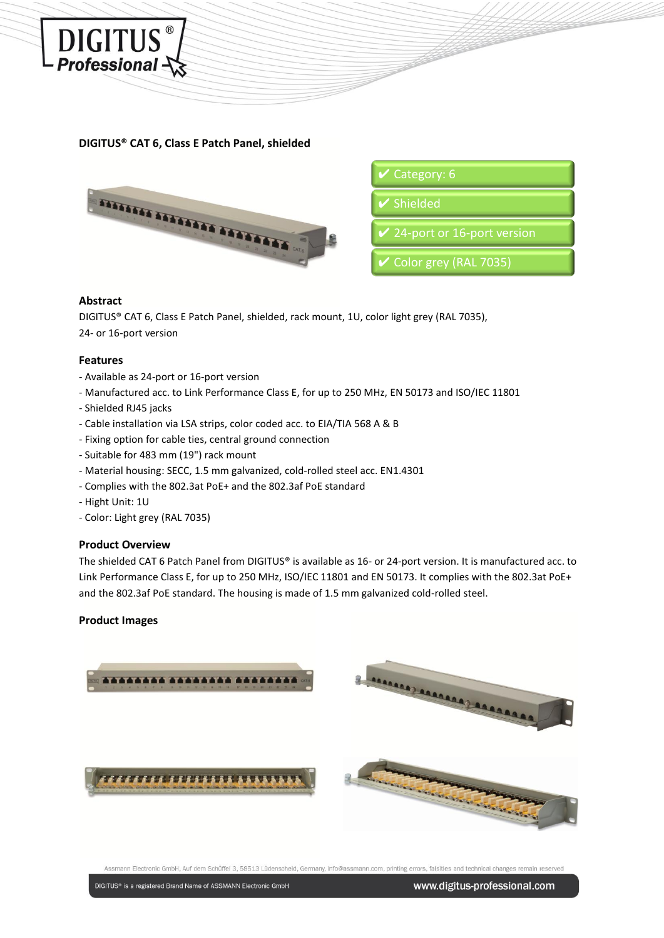

# **DIGITUS® CAT 6, Class E Patch Panel, shielded**



| $\vee$ Category: 6                |
|-----------------------------------|
| $\blacktriangleright$ Shielded    |
| $\vee$ 24-port or 16-port version |
| <b>V</b> Color grey (RAL 7035)    |

### **Abstract**

DIGITUS® CAT 6, Class E Patch Panel, shielded, rack mount, 1U, color light grey (RAL 7035), 24- or 16-port version

#### **Features**

- Available as 24-port or 16-port version
- Manufactured acc. to Link Performance Class E, for up to 250 MHz, EN 50173 and ISO/IEC 11801
- Shielded RJ45 jacks
- Cable installation via LSA strips, color coded acc. to EIA/TIA 568 A & B
- Fixing option for cable ties, central ground connection
- Suitable for 483 mm (19") rack mount
- Material housing: SECC, 1.5 mm galvanized, cold-rolled steel acc. EN1.4301
- Complies with the 802.3at PoE+ and the 802.3af PoE standard
- Hight Unit: 1U
- Color: Light grey (RAL 7035)

## **Product Overview**

The shielded CAT 6 Patch Panel from DIGITUS® is available as 16- or 24-port version. It is manufactured acc. to Link Performance Class E, for up to 250 MHz, ISO/IEC 11801 and EN 50173. It complies with the 802.3at PoE+ and the 802.3af PoE standard. The housing is made of 1.5 mm galvanized cold-rolled steel.

## **Product Images**



Assmann Electronic GmbH, Auf dem Schüffel 3, 58513 Lüdenscheid, Germany, info@assma ann.com, printing errors, falsities and technical changes remain reserver